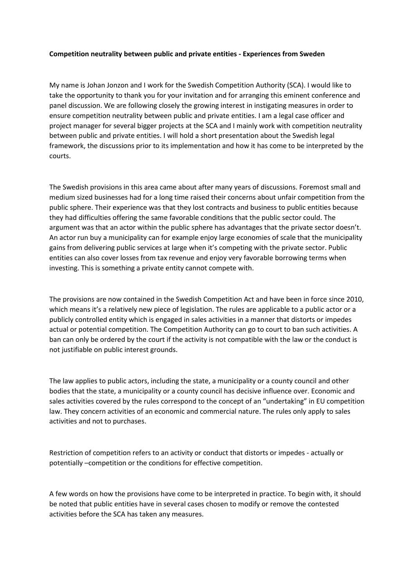## **Competition neutrality between public and private entities - Experiences from Sweden**

My name is Johan Jonzon and I work for the Swedish Competition Authority (SCA). I would like to take the opportunity to thank you for your invitation and for arranging this eminent conference and panel discussion. We are following closely the growing interest in instigating measures in order to ensure competition neutrality between public and private entities. I am a legal case officer and project manager for several bigger projects at the SCA and I mainly work with competition neutrality between public and private entities. I will hold a short presentation about the Swedish legal framework, the discussions prior to its implementation and how it has come to be interpreted by the courts.

The Swedish provisions in this area came about after many years of discussions. Foremost small and medium sized businesses had for a long time raised their concerns about unfair competition from the public sphere. Their experience was that they lost contracts and business to public entities because they had difficulties offering the same favorable conditions that the public sector could. The argument was that an actor within the public sphere has advantages that the private sector doesn't. An actor run buy a municipality can for example enjoy large economies of scale that the municipality gains from delivering public services at large when it's competing with the private sector. Public entities can also cover losses from tax revenue and enjoy very favorable borrowing terms when investing. This is something a private entity cannot compete with.

The provisions are now contained in the Swedish Competition Act and have been in force since 2010, which means it's a relatively new piece of legislation. The rules are applicable to a public actor or a publicly controlled entity which is engaged in sales activities in a manner that distorts or impedes actual or potential competition. The Competition Authority can go to court to ban such activities. A ban can only be ordered by the court if the activity is not compatible with the law or the conduct is not justifiable on public interest grounds.

The law applies to public actors, including the state, a municipality or a county council and other bodies that the state, a municipality or a county council has decisive influence over. Economic and sales activities covered by the rules correspond to the concept of an "undertaking" in EU competition law. They concern activities of an economic and commercial nature. The rules only apply to sales activities and not to purchases.

Restriction of competition refers to an activity or conduct that distorts or impedes - actually or potentially –competition or the conditions for effective competition.

A few words on how the provisions have come to be interpreted in practice. To begin with, it should be noted that public entities have in several cases chosen to modify or remove the contested activities before the SCA has taken any measures.